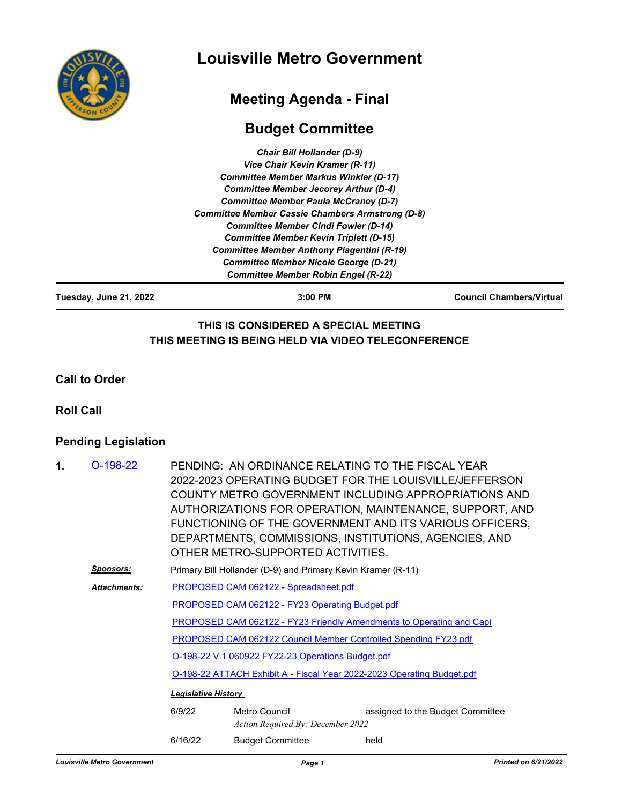

# **Louisville Metro Government**

# **Meeting Agenda - Final**

## **Budget Committee**

| <b>Chair Bill Hollander (D-9)</b>                       |  |
|---------------------------------------------------------|--|
| Vice Chair Kevin Kramer (R-11)                          |  |
| <b>Committee Member Markus Winkler (D-17)</b>           |  |
| <b>Committee Member Jecorey Arthur (D-4)</b>            |  |
| <b>Committee Member Paula McCraney (D-7)</b>            |  |
| <b>Committee Member Cassie Chambers Armstrong (D-8)</b> |  |
| <b>Committee Member Cindi Fowler (D-14)</b>             |  |
| <b>Committee Member Kevin Triplett (D-15)</b>           |  |
| <b>Committee Member Anthony Piagentini (R-19)</b>       |  |
| <b>Committee Member Nicole George (D-21)</b>            |  |
| <b>Committee Member Robin Engel (R-22)</b>              |  |
|                                                         |  |

**Tuesday, June 21, 2022 3:00 PM Council Chambers/Virtual**

#### **THIS IS CONSIDERED A SPECIAL MEETING THIS MEETING IS BEING HELD VIA VIDEO TELECONFERENCE**

**Call to Order**

**Roll Call**

### **Pending Legislation**

| 1. | $O-198-22$          |                                                                        | PENDING: AN ORDINANCE RELATING TO THE FISCAL YEAR<br>2022-2023 OPERATING BUDGET FOR THE LOUISVILLE/JEFFERSON<br>COUNTY METRO GOVERNMENT INCLUDING APPROPRIATIONS AND<br>AUTHORIZATIONS FOR OPERATION, MAINTENANCE, SUPPORT, AND<br>FUNCTIONING OF THE GOVERNMENT AND ITS VARIOUS OFFICERS,<br>DEPARTMENTS, COMMISSIONS, INSTITUTIONS, AGENCIES, AND<br>OTHER METRO-SUPPORTED ACTIVITIES. |                                  |  |  |
|----|---------------------|------------------------------------------------------------------------|------------------------------------------------------------------------------------------------------------------------------------------------------------------------------------------------------------------------------------------------------------------------------------------------------------------------------------------------------------------------------------------|----------------------------------|--|--|
|    | Sponsors:           | Primary Bill Hollander (D-9) and Primary Kevin Kramer (R-11)           |                                                                                                                                                                                                                                                                                                                                                                                          |                                  |  |  |
|    | <b>Attachments:</b> | PROPOSED CAM 062122 - Spreadsheet.pdf                                  |                                                                                                                                                                                                                                                                                                                                                                                          |                                  |  |  |
|    |                     | PROPOSED CAM 062122 - FY23 Operating Budget.pdf                        |                                                                                                                                                                                                                                                                                                                                                                                          |                                  |  |  |
|    |                     |                                                                        | PROPOSED CAM 062122 - FY23 Friendly Amendments to Operating and Capit                                                                                                                                                                                                                                                                                                                    |                                  |  |  |
|    |                     | <b>PROPOSED CAM 062122 Council Member Controlled Spending FY23.pdf</b> |                                                                                                                                                                                                                                                                                                                                                                                          |                                  |  |  |
|    |                     | O-198-22 V.1 060922 FY22-23 Operations Budget.pdf                      |                                                                                                                                                                                                                                                                                                                                                                                          |                                  |  |  |
|    |                     | O-198-22 ATTACH Exhibit A - Fiscal Year 2022-2023 Operating Budget.pdf |                                                                                                                                                                                                                                                                                                                                                                                          |                                  |  |  |
|    |                     | <b>Legislative History</b>                                             |                                                                                                                                                                                                                                                                                                                                                                                          |                                  |  |  |
|    |                     | 6/9/22                                                                 | Metro Council<br>Action Required By: December 2022                                                                                                                                                                                                                                                                                                                                       | assigned to the Budget Committee |  |  |
|    |                     | 6/16/22                                                                | <b>Budget Committee</b>                                                                                                                                                                                                                                                                                                                                                                  | held                             |  |  |